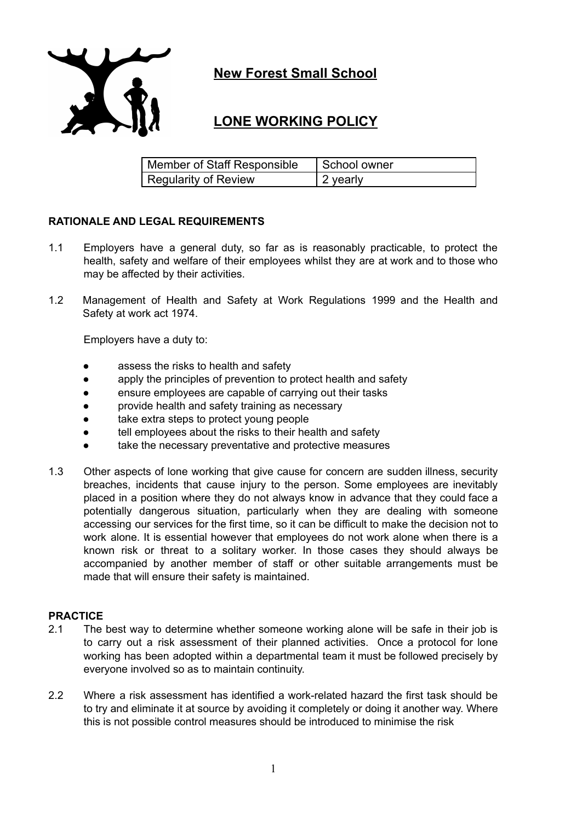

# **New Forest Small School**

# **LONE WORKING POLICY**

| Member of Staff Responsible | School owner |
|-----------------------------|--------------|
| Regularity of Review        | 2 yearly     |

## **RATIONALE AND LEGAL REQUIREMENTS**

- 1.1 Employers have a general duty, so far as is reasonably practicable, to protect the health, safety and welfare of their employees whilst they are at work and to those who may be affected by their activities.
- 1.2 Management of Health and Safety at Work Regulations 1999 and the Health and Safety at work act 1974.

Employers have a duty to:

- assess the risks to health and safety
- apply the principles of prevention to protect health and safety
- ensure employees are capable of carrying out their tasks
- provide health and safety training as necessary
- take extra steps to protect young people
- tell employees about the risks to their health and safety
- take the necessary preventative and protective measures
- 1.3 Other aspects of lone working that give cause for concern are sudden illness, security breaches, incidents that cause injury to the person. Some employees are inevitably placed in a position where they do not always know in advance that they could face a potentially dangerous situation, particularly when they are dealing with someone accessing our services for the first time, so it can be difficult to make the decision not to work alone. It is essential however that employees do not work alone when there is a known risk or threat to a solitary worker. In those cases they should always be accompanied by another member of staff or other suitable arrangements must be made that will ensure their safety is maintained.

#### **PRACTICE**

- 2.1 The best way to determine whether someone working alone will be safe in their job is to carry out a risk assessment of their planned activities. Once a protocol for lone working has been adopted within a departmental team it must be followed precisely by everyone involved so as to maintain continuity.
- 2.2 Where a risk assessment has identified a work-related hazard the first task should be to try and eliminate it at source by avoiding it completely or doing it another way. Where this is not possible control measures should be introduced to minimise the risk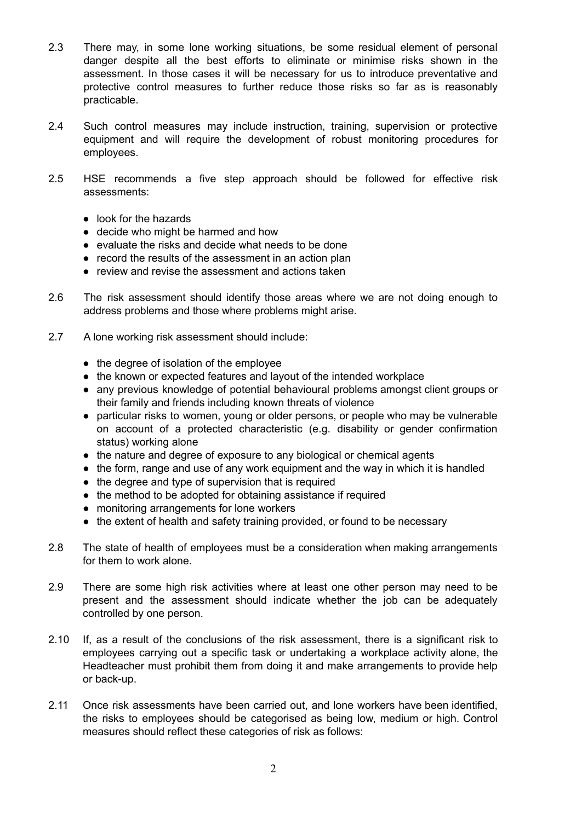- 2.3 There may, in some lone working situations, be some residual element of personal danger despite all the best efforts to eliminate or minimise risks shown in the assessment. In those cases it will be necessary for us to introduce preventative and protective control measures to further reduce those risks so far as is reasonably practicable.
- 2.4 Such control measures may include instruction, training, supervision or protective equipment and will require the development of robust monitoring procedures for employees.
- 2.5 HSE recommends a five step approach should be followed for effective risk assessments:
	- look for the hazards
	- decide who might be harmed and how
	- evaluate the risks and decide what needs to be done
	- record the results of the assessment in an action plan
	- review and revise the assessment and actions taken
- 2.6 The risk assessment should identify those areas where we are not doing enough to address problems and those where problems might arise.
- 2.7 A lone working risk assessment should include:
	- the degree of isolation of the employee
	- the known or expected features and layout of the intended workplace
	- any previous knowledge of potential behavioural problems amongst client groups or their family and friends including known threats of violence
	- particular risks to women, young or older persons, or people who may be vulnerable on account of a protected characteristic (e.g. disability or gender confirmation status) working alone
	- the nature and degree of exposure to any biological or chemical agents
	- the form, range and use of any work equipment and the way in which it is handled
	- the degree and type of supervision that is required
	- the method to be adopted for obtaining assistance if required
	- monitoring arrangements for lone workers
	- the extent of health and safety training provided, or found to be necessary
- 2.8 The state of health of employees must be a consideration when making arrangements for them to work alone.
- 2.9 There are some high risk activities where at least one other person may need to be present and the assessment should indicate whether the job can be adequately controlled by one person.
- 2.10 If, as a result of the conclusions of the risk assessment, there is a significant risk to employees carrying out a specific task or undertaking a workplace activity alone, the Headteacher must prohibit them from doing it and make arrangements to provide help or back-up.
- 2.11 Once risk assessments have been carried out, and lone workers have been identified, the risks to employees should be categorised as being low, medium or high. Control measures should reflect these categories of risk as follows: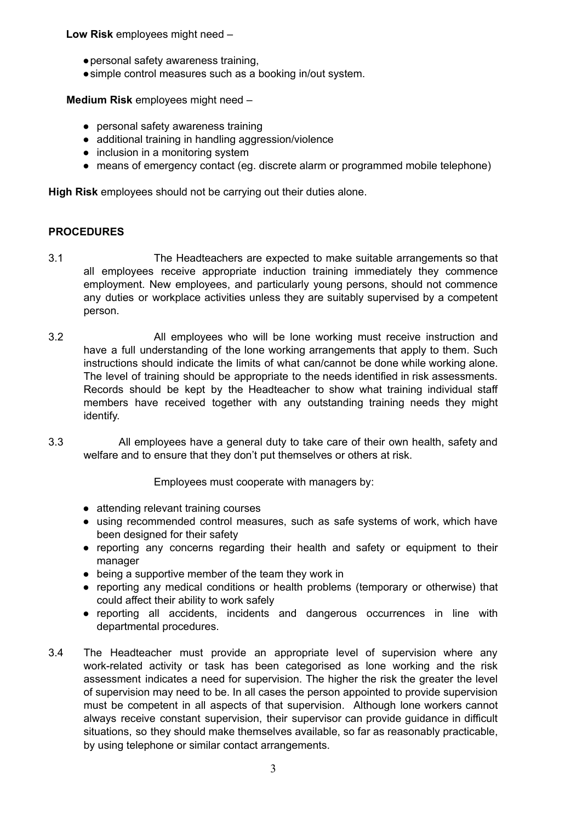**Low Risk** employees might need –

- ●personal safety awareness training,
- ●simple control measures such as a booking in/out system.

**Medium Risk** employees might need –

- personal safety awareness training
- additional training in handling aggression/violence
- inclusion in a monitoring system
- means of emergency contact (eg. discrete alarm or programmed mobile telephone)

**High Risk** employees should not be carrying out their duties alone.

### **PROCEDURES**

- 3.1 The Headteachers are expected to make suitable arrangements so that all employees receive appropriate induction training immediately they commence employment. New employees, and particularly young persons, should not commence any duties or workplace activities unless they are suitably supervised by a competent person.
- 3.2 All employees who will be lone working must receive instruction and have a full understanding of the lone working arrangements that apply to them. Such instructions should indicate the limits of what can/cannot be done while working alone. The level of training should be appropriate to the needs identified in risk assessments. Records should be kept by the Headteacher to show what training individual staff members have received together with any outstanding training needs they might identify.
- 3.3 All employees have a general duty to take care of their own health, safety and welfare and to ensure that they don't put themselves or others at risk.

Employees must cooperate with managers by:

- attending relevant training courses
- using recommended control measures, such as safe systems of work, which have been designed for their safety
- reporting any concerns regarding their health and safety or equipment to their manager
- being a supportive member of the team they work in
- reporting any medical conditions or health problems (temporary or otherwise) that could affect their ability to work safely
- reporting all accidents, incidents and dangerous occurrences in line with departmental procedures.
- 3.4 The Headteacher must provide an appropriate level of supervision where any work-related activity or task has been categorised as lone working and the risk assessment indicates a need for supervision. The higher the risk the greater the level of supervision may need to be. In all cases the person appointed to provide supervision must be competent in all aspects of that supervision. Although lone workers cannot always receive constant supervision, their supervisor can provide guidance in difficult situations, so they should make themselves available, so far as reasonably practicable, by using telephone or similar contact arrangements.